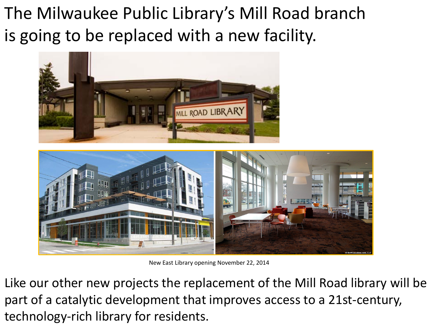The Milwaukee Public Library's Mill Road branch is going to be replaced with a new facility.





New East Library opening November 22, 2014

Like our other new projects the replacement of the Mill Road library will be part of a catalytic development that improves access to a 21st-century, technology-rich library for residents.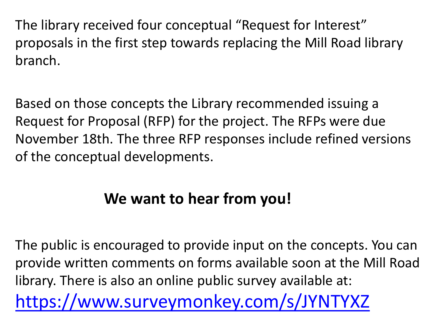The library received four conceptual "Request for Interest" proposals in the first step towards replacing the Mill Road library branch.

Based on those concepts the Library recommended issuing a Request for Proposal (RFP) for the project. The RFPs were due November 18th. The three RFP responses include refined versions of the conceptual developments.

# **We want to hear from you!**

The public is encouraged to provide input on the concepts. You can provide written comments on forms available soon at the Mill Road library. There is also an online public survey available at: <https://www.surveymonkey.com/s/JYNTYXZ>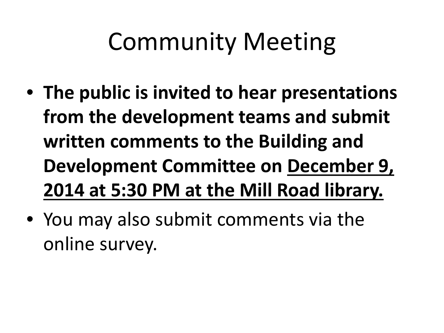# Community Meeting

- **The public is invited to hear presentations from the development teams and submit written comments to the Building and Development Committee on December 9, 2014 at 5:30 PM at the Mill Road library.**
- You may also submit comments via the online survey.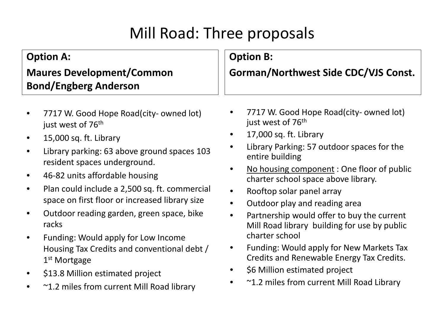# Mill Road: Three proposals

| <b>Option A:</b>                 | <b>Option B:</b>                            |
|----------------------------------|---------------------------------------------|
| <b>Maures Development/Common</b> | <b>Gorman/Northwest Side CDC/VJS Const.</b> |
| <b>Bond/Engberg Anderson</b>     |                                             |

- 7717 W. Good Hope Road(city- owned lot) just west of 76<sup>th</sup>
- 15,000 sq. ft. Library
- Library parking: 63 above ground spaces 103 resident spaces underground.
- 46-82 units affordable housing
- Plan could include a 2,500 sq. ft. commercial space on first floor or increased library size
- Outdoor reading garden, green space, bike racks
- Funding: Would apply for Low Income Housing Tax Credits and conventional debt / 1<sup>st</sup> Mortgage
- \$13.8 Million estimated project
- ~1.2 miles from current Mill Road library
- 7717 W. Good Hope Road(city- owned lot) just west of 76<sup>th</sup>
- 17,000 sq. ft. Library
- Library Parking: 57 outdoor spaces for the entire building
- No housing component : One floor of public charter school space above library.
- Rooftop solar panel array
- Outdoor play and reading area
- Partnership would offer to buy the current Mill Road library building for use by public charter school
- Funding: Would apply for New Markets Tax Credits and Renewable Energy Tax Credits.
- \$6 Million estimated project
- ~1.2 miles from current Mill Road Library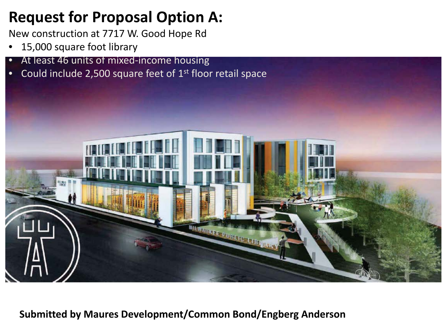## **Request for Proposal Option A:**

New construction at 7717 W. Good Hope Rd

- 15,000 square foot library
- At least 46 units of mixed-income housing
- Could include 2,500 square feet of 1<sup>st</sup> floor retail space



**Submitted by Maures Development/Common Bond/Engberg Anderson**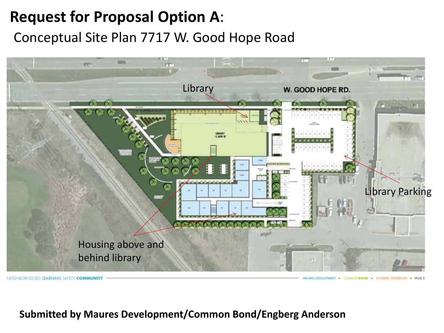## **Request for Proposal Option A**:

Conceptual Site Plan 7717 W. Good Hope Road



NEIGHBORHOODS LEARNING SAFETY COMMUNIT

MALIZES DEVELOPMENT . COMMONIBIONID . ENCREDG ANDERSON . **PACER** 

#### **Submitted by Maures Development/Common Bond/Engberg Anderson**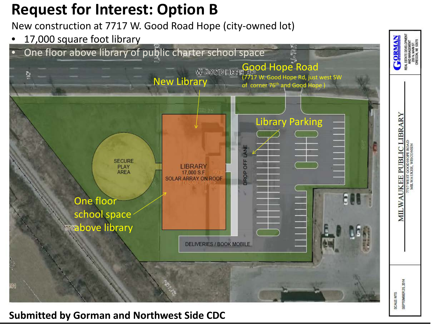## **Request for Interest: Option B**

New construction at 7717 W. Good Road Hope (city-owned lot)

17,000 square foot library



#### **Submitted by Gorman and Northwest Side CDC**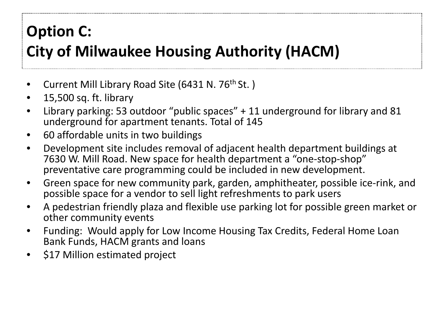# **Option C:**

# **City of Milwaukee Housing Authority (HACM)**

- Current Mill Library Road Site (6431 N. 76<sup>th</sup> St.)
- 15,500 sq. ft. library
- Library parking: 53 outdoor "public spaces" + 11 underground for library and 81 underground for apartment tenants. Total of 145
- 60 affordable units in two buildings
- Development site includes removal of adjacent health department buildings at 7630 W. Mill Road. New space for health department a "one-stop-shop" preventative care programming could be included in new development.
- Green space for new community park, garden, amphitheater, possible ice-rink, and possible space for a vendor to sell light refreshments to park users
- A pedestrian friendly plaza and flexible use parking lot for possible green market or other community events
- Funding: Would apply for Low Income Housing Tax Credits, Federal Home Loan Bank Funds, HACM grants and loans
- \$17 Million estimated project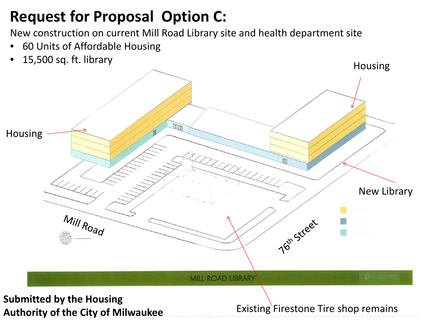# **Request for Proposal Option C:**

New construction on current Mill Road Library site and health department site

- 60 Units of Affordable Housing
- 15,500 sq. ft. library



**Authority of the City of Milwaukee**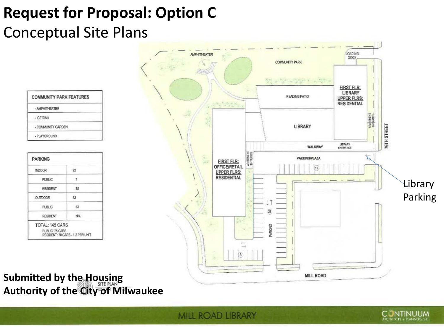# **Request for Proposal: Option C**

# Conceptual Site Plans

| <b>COMMUNITY PARK FEATURES</b> |  |
|--------------------------------|--|
| - AMPMITHEATER                 |  |
| <b>ICE RINK</b>                |  |
| - COMMUNITY GARDEN             |  |
| - PLAYGROUND                   |  |

| INDOOR          | 92   |
|-----------------|------|
| PUBLIC          | -7   |
| RESIDENT        | - 85 |
| <b>OUTDOOR</b>  | 53   |
| PUBLIC          | 53   |
| <b>RESIDENT</b> | N/A  |



#### **Submitted by the Housing Authority of the City of Milwaukee**

MILL ROAD LIBRARY